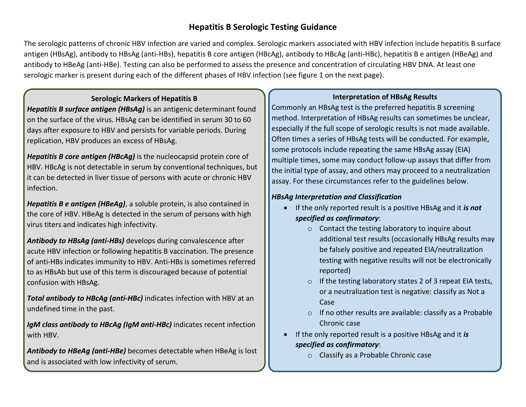# **Hepatitis B Serologic Testing Guidance**

The serologic patterns of chronic HBV infection are varied and complex. Serologic markers associated with HBV infection include hepatitis B surface antigen (HBsAg), antibody to HBsAg (anti-HBs), hepatitis B core antigen (HBcAg), antibody to HBcAg (anti-HBc), hepatitis B e antigen (HBeAg) and antibody to HBeAg (anti-HBe). Testing can also be performed to assess the presence and concentration of circulating HBV DNA. At least one serologic marker is present during each of the different phases of HBV infection (see figure 1 on the next page).

#### **Serologic Markers of Hepatitis B**

*Hepatitis B surface antigen (HBsAg)* is an antigenic determinant found on the surface of the virus. HBsAg can be identified in serum 30 to 60 days after exposure to HBV and persists for variable periods. During replication, HBV produces an excess of HBsAg.

*Hepatitis B core antigen (HBcAg)* is the nucleocapsid protein core of HBV. HBcAg is not detectable in serum by conventional techniques, but it can be detected in liver tissue of persons with acute or chronic HBV infection.

*Hepatitis B e antigen (HBeAg)*, a soluble protein, is also contained in the core of HBV. HBeAg is detected in the serum of persons with high virus titers and indicates high infectivity.

*Antibody to HBsAg (anti-HBs)* develops during convalescence after acute HBV infection or following hepatitis B vaccination. The presence of anti-HBs indicates immunity to HBV. Anti-HBs is sometimes referred to as HBsAb but use of this term is discouraged because of potential confusion with HBsAg.

*Total antibody to HBcAg (anti-HBc)* indicates infection with HBV at an undefined time in the past.

*IgM class antibody to HBcAg (IgM anti-HBc)* indicates recent infection with HBV.

*Antibody to HBeAg (anti-HBe)* becomes detectable when HBeAg is lost and is associated with low infectivity of serum.

### **Interpretation of HBsAg Results**

Commonly an HBsAg test is the preferred hepatitis B screening method. Interpretation of HBsAg results can sometimes be unclear, especially if the full scope of serologic results is not made available. Often times a series of HBsAg tests will be conducted. For example, some protocols include repeating the same HBsAg assay (EIA) multiple times, some may conduct follow-up assays that differ from the initial type of assay, and others may proceed to a neutralization assay. For these circumstances refer to the guidelines below.

### *HBsAg Interpretation and Classification*

- If the only reported result is a positive HBsAg and it *is not specified as confirmatory*:
	- o Contact the testing laboratory to inquire about additional test results (occasionally HBsAg results may be falsely positive and repeated EIA/neutralization testing with negative results will not be electronically reported)
	- o If the testing laboratory states 2 of 3 repeat EIA tests, or a neutralization test is negative: classify as Not a Case
	- o If no other results are available: classify as a Probable Chronic case
- If the only reported result is a positive HBsAg and it *is specified as confirmatory*:
	- o Classify as a Probable Chronic case